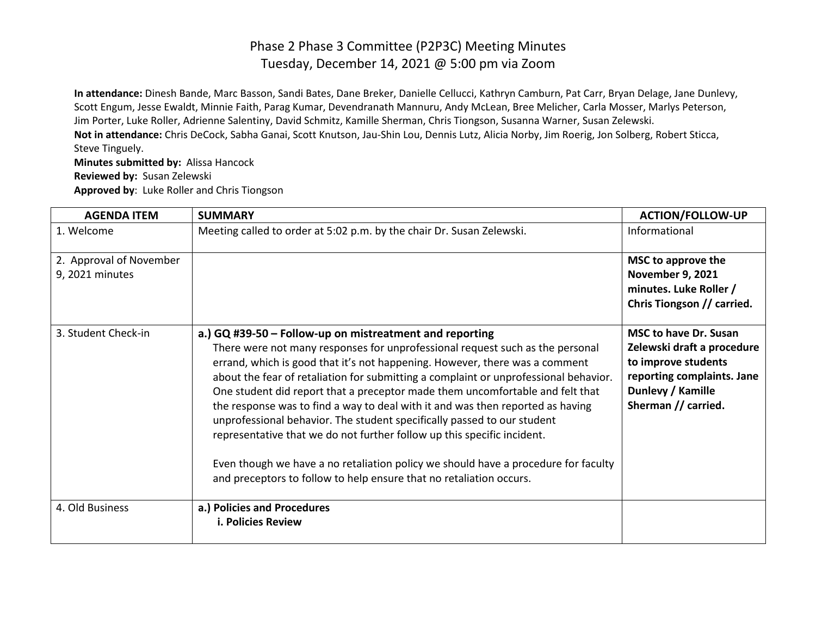**In attendance:** Dinesh Bande, Marc Basson, Sandi Bates, Dane Breker, Danielle Cellucci, Kathryn Camburn, Pat Carr, Bryan Delage, Jane Dunlevy, Scott Engum, Jesse Ewaldt, Minnie Faith, Parag Kumar, Devendranath Mannuru, Andy McLean, Bree Melicher, Carla Mosser, Marlys Peterson, Jim Porter, Luke Roller, Adrienne Salentiny, David Schmitz, Kamille Sherman, Chris Tiongson, Susanna Warner, Susan Zelewski. **Not in attendance:** Chris DeCock, Sabha Ganai, Scott Knutson, Jau-Shin Lou, Dennis Lutz, Alicia Norby, Jim Roerig, Jon Solberg, Robert Sticca, Steve Tinguely.

**Minutes submitted by:** Alissa Hancock **Reviewed by:** Susan Zelewski **Approved by**: Luke Roller and Chris Tiongson

| <b>AGENDA ITEM</b>                         | <b>SUMMARY</b>                                                                                                                                                                                                                                                                                                                                                                                                                                                                                                                                                                                                                                                                                                                                                                                        | <b>ACTION/FOLLOW-UP</b>                                                                                                                                     |
|--------------------------------------------|-------------------------------------------------------------------------------------------------------------------------------------------------------------------------------------------------------------------------------------------------------------------------------------------------------------------------------------------------------------------------------------------------------------------------------------------------------------------------------------------------------------------------------------------------------------------------------------------------------------------------------------------------------------------------------------------------------------------------------------------------------------------------------------------------------|-------------------------------------------------------------------------------------------------------------------------------------------------------------|
| 1. Welcome                                 | Meeting called to order at 5:02 p.m. by the chair Dr. Susan Zelewski.                                                                                                                                                                                                                                                                                                                                                                                                                                                                                                                                                                                                                                                                                                                                 | Informational                                                                                                                                               |
| 2. Approval of November<br>9, 2021 minutes |                                                                                                                                                                                                                                                                                                                                                                                                                                                                                                                                                                                                                                                                                                                                                                                                       | MSC to approve the<br><b>November 9, 2021</b><br>minutes. Luke Roller /<br>Chris Tiongson // carried.                                                       |
| 3. Student Check-in                        | a.) GQ #39-50 - Follow-up on mistreatment and reporting<br>There were not many responses for unprofessional request such as the personal<br>errand, which is good that it's not happening. However, there was a comment<br>about the fear of retaliation for submitting a complaint or unprofessional behavior.<br>One student did report that a preceptor made them uncomfortable and felt that<br>the response was to find a way to deal with it and was then reported as having<br>unprofessional behavior. The student specifically passed to our student<br>representative that we do not further follow up this specific incident.<br>Even though we have a no retaliation policy we should have a procedure for faculty<br>and preceptors to follow to help ensure that no retaliation occurs. | <b>MSC to have Dr. Susan</b><br>Zelewski draft a procedure<br>to improve students<br>reporting complaints. Jane<br>Dunlevy / Kamille<br>Sherman // carried. |
| 4. Old Business                            | a.) Policies and Procedures<br><b>i. Policies Review</b>                                                                                                                                                                                                                                                                                                                                                                                                                                                                                                                                                                                                                                                                                                                                              |                                                                                                                                                             |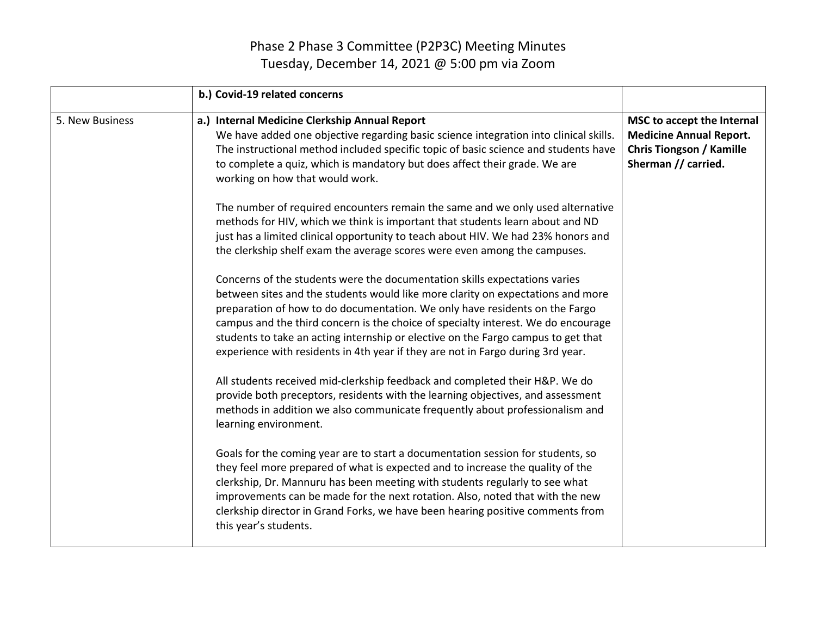|                 | b.) Covid-19 related concerns                                                                                                                                                                                                                                                                                                                                                                                                                                                                             |                                                                                                                        |
|-----------------|-----------------------------------------------------------------------------------------------------------------------------------------------------------------------------------------------------------------------------------------------------------------------------------------------------------------------------------------------------------------------------------------------------------------------------------------------------------------------------------------------------------|------------------------------------------------------------------------------------------------------------------------|
| 5. New Business | a.) Internal Medicine Clerkship Annual Report<br>We have added one objective regarding basic science integration into clinical skills.<br>The instructional method included specific topic of basic science and students have<br>to complete a quiz, which is mandatory but does affect their grade. We are<br>working on how that would work.                                                                                                                                                            | MSC to accept the Internal<br><b>Medicine Annual Report.</b><br><b>Chris Tiongson / Kamille</b><br>Sherman // carried. |
|                 | The number of required encounters remain the same and we only used alternative<br>methods for HIV, which we think is important that students learn about and ND<br>just has a limited clinical opportunity to teach about HIV. We had 23% honors and<br>the clerkship shelf exam the average scores were even among the campuses.                                                                                                                                                                         |                                                                                                                        |
|                 | Concerns of the students were the documentation skills expectations varies<br>between sites and the students would like more clarity on expectations and more<br>preparation of how to do documentation. We only have residents on the Fargo<br>campus and the third concern is the choice of specialty interest. We do encourage<br>students to take an acting internship or elective on the Fargo campus to get that<br>experience with residents in 4th year if they are not in Fargo during 3rd year. |                                                                                                                        |
|                 | All students received mid-clerkship feedback and completed their H&P. We do<br>provide both preceptors, residents with the learning objectives, and assessment<br>methods in addition we also communicate frequently about professionalism and<br>learning environment.                                                                                                                                                                                                                                   |                                                                                                                        |
|                 | Goals for the coming year are to start a documentation session for students, so<br>they feel more prepared of what is expected and to increase the quality of the<br>clerkship, Dr. Mannuru has been meeting with students regularly to see what<br>improvements can be made for the next rotation. Also, noted that with the new<br>clerkship director in Grand Forks, we have been hearing positive comments from<br>this year's students.                                                              |                                                                                                                        |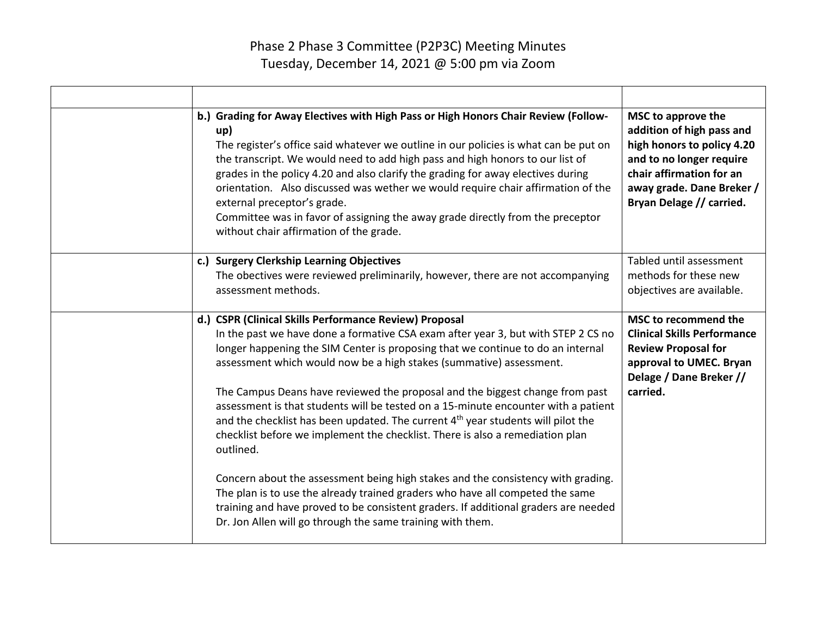| b.) Grading for Away Electives with High Pass or High Honors Chair Review (Follow-<br>up)<br>The register's office said whatever we outline in our policies is what can be put on<br>the transcript. We would need to add high pass and high honors to our list of<br>grades in the policy 4.20 and also clarify the grading for away electives during<br>orientation. Also discussed was wether we would require chair affirmation of the<br>external preceptor's grade.<br>Committee was in favor of assigning the away grade directly from the preceptor<br>without chair affirmation of the grade.                                                                                                                                                                                                                                                                                                                                                                                              | MSC to approve the<br>addition of high pass and<br>high honors to policy 4.20<br>and to no longer require<br>chair affirmation for an<br>away grade. Dane Breker /<br>Bryan Delage // carried. |
|-----------------------------------------------------------------------------------------------------------------------------------------------------------------------------------------------------------------------------------------------------------------------------------------------------------------------------------------------------------------------------------------------------------------------------------------------------------------------------------------------------------------------------------------------------------------------------------------------------------------------------------------------------------------------------------------------------------------------------------------------------------------------------------------------------------------------------------------------------------------------------------------------------------------------------------------------------------------------------------------------------|------------------------------------------------------------------------------------------------------------------------------------------------------------------------------------------------|
| c.) Surgery Clerkship Learning Objectives<br>The obectives were reviewed preliminarily, however, there are not accompanying<br>assessment methods.                                                                                                                                                                                                                                                                                                                                                                                                                                                                                                                                                                                                                                                                                                                                                                                                                                                  | Tabled until assessment<br>methods for these new<br>objectives are available.                                                                                                                  |
| d.) CSPR (Clinical Skills Performance Review) Proposal<br>In the past we have done a formative CSA exam after year 3, but with STEP 2 CS no<br>longer happening the SIM Center is proposing that we continue to do an internal<br>assessment which would now be a high stakes (summative) assessment.<br>The Campus Deans have reviewed the proposal and the biggest change from past<br>assessment is that students will be tested on a 15-minute encounter with a patient<br>and the checklist has been updated. The current 4 <sup>th</sup> year students will pilot the<br>checklist before we implement the checklist. There is also a remediation plan<br>outlined.<br>Concern about the assessment being high stakes and the consistency with grading.<br>The plan is to use the already trained graders who have all competed the same<br>training and have proved to be consistent graders. If additional graders are needed<br>Dr. Jon Allen will go through the same training with them. | MSC to recommend the<br><b>Clinical Skills Performance</b><br><b>Review Proposal for</b><br>approval to UMEC. Bryan<br>Delage / Dane Breker //<br>carried.                                     |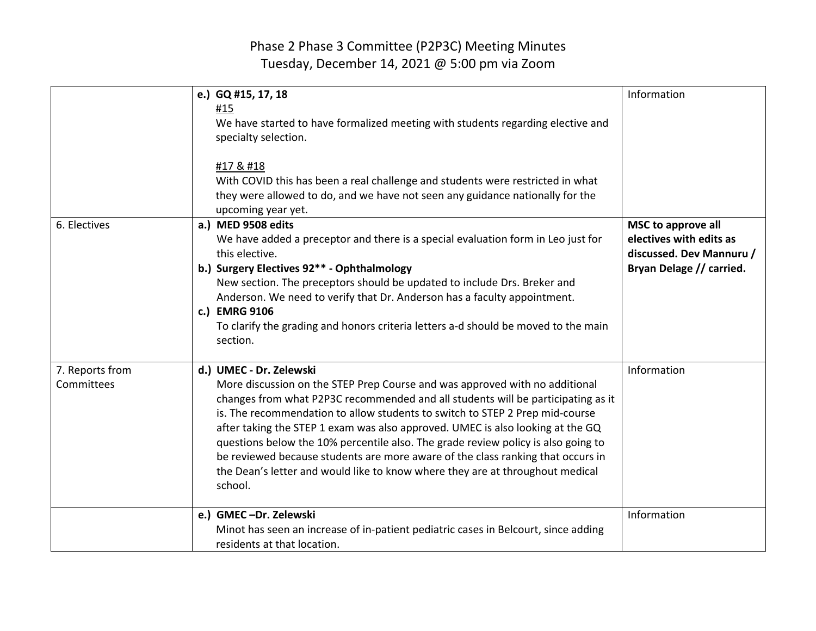| 6. Electives                  | e.) GQ #15, 17, 18<br>#15<br>We have started to have formalized meeting with students regarding elective and<br>specialty selection.<br>#17 & #18<br>With COVID this has been a real challenge and students were restricted in what<br>they were allowed to do, and we have not seen any guidance nationally for the<br>upcoming year yet.<br>a.) MED 9508 edits                                                                                                                                                                                                                                                                 | Information<br>MSC to approve all                                               |
|-------------------------------|----------------------------------------------------------------------------------------------------------------------------------------------------------------------------------------------------------------------------------------------------------------------------------------------------------------------------------------------------------------------------------------------------------------------------------------------------------------------------------------------------------------------------------------------------------------------------------------------------------------------------------|---------------------------------------------------------------------------------|
|                               | We have added a preceptor and there is a special evaluation form in Leo just for<br>this elective.<br>b.) Surgery Electives 92** - Ophthalmology<br>New section. The preceptors should be updated to include Drs. Breker and<br>Anderson. We need to verify that Dr. Anderson has a faculty appointment.<br>c.) EMRG 9106<br>To clarify the grading and honors criteria letters a-d should be moved to the main<br>section.                                                                                                                                                                                                      | electives with edits as<br>discussed. Dev Mannuru /<br>Bryan Delage // carried. |
| 7. Reports from<br>Committees | d.) UMEC - Dr. Zelewski<br>More discussion on the STEP Prep Course and was approved with no additional<br>changes from what P2P3C recommended and all students will be participating as it<br>is. The recommendation to allow students to switch to STEP 2 Prep mid-course<br>after taking the STEP 1 exam was also approved. UMEC is also looking at the GQ<br>questions below the 10% percentile also. The grade review policy is also going to<br>be reviewed because students are more aware of the class ranking that occurs in<br>the Dean's letter and would like to know where they are at throughout medical<br>school. | Information                                                                     |
|                               | e.) GMEC-Dr. Zelewski<br>Minot has seen an increase of in-patient pediatric cases in Belcourt, since adding<br>residents at that location.                                                                                                                                                                                                                                                                                                                                                                                                                                                                                       | Information                                                                     |